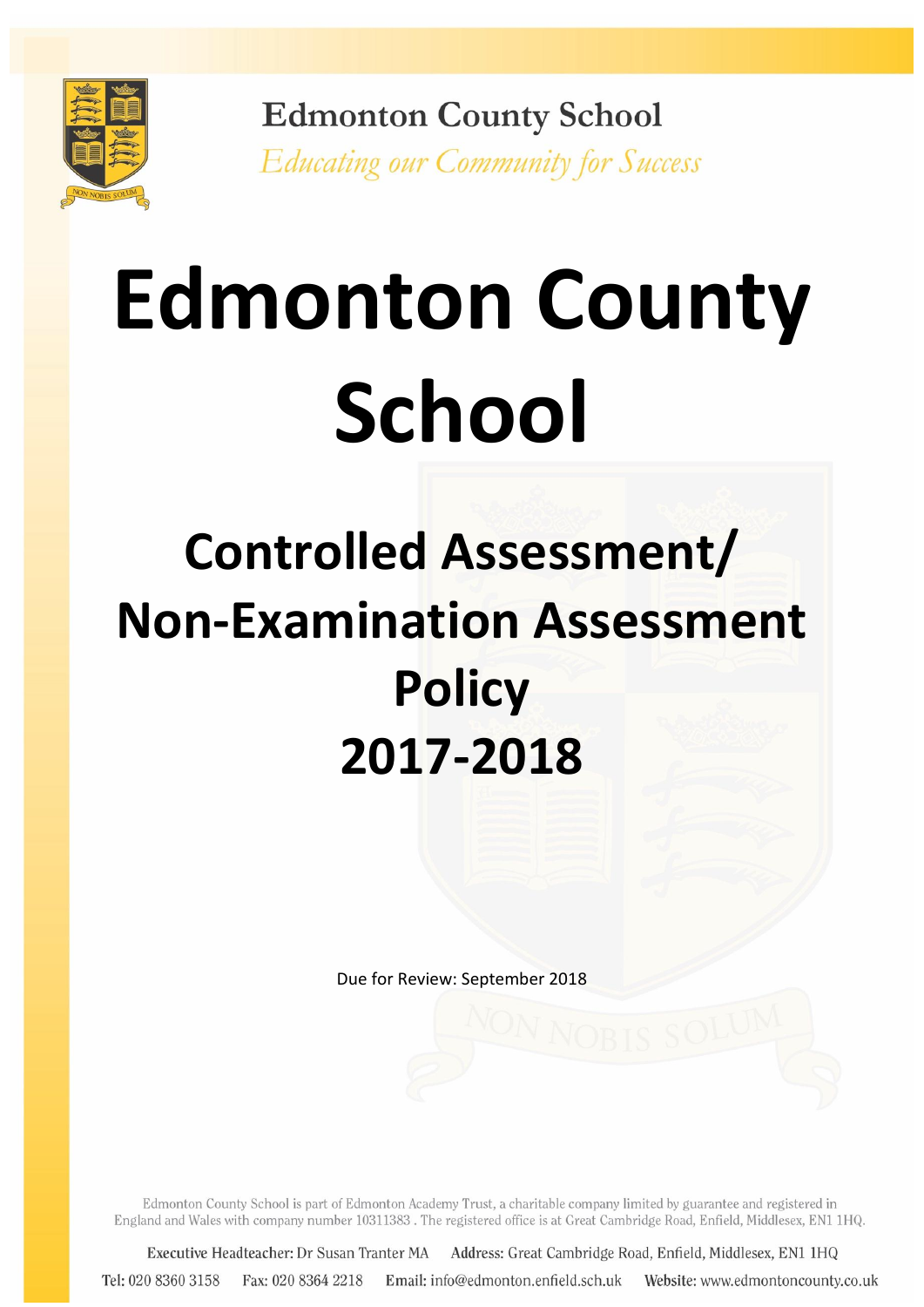

**Edmonton County School** Educating our Community for Success

# **Edmonton County School**

# **Controlled Assessment/ Non-Examination Assessment Policy 2017-2018**

Due for Review: September 2018

Edmonton County School is part of Edmonton Academy Trust, a charitable company limited by guarantee and registered in England and Wales with company number 10311383. The registered office is at Great Cambridge Road, Enfield, Middlesex, EN1 1HQ.

Executive Headteacher: Dr Susan Tranter MA Address: Great Cambridge Road, Enfield, Middlesex, EN1 1HQ Tel: 020 8360 3158 Fax: 020 8364 2218 Email: info@edmonton.enfield.sch.uk Website: www.edmontoncounty.co.uk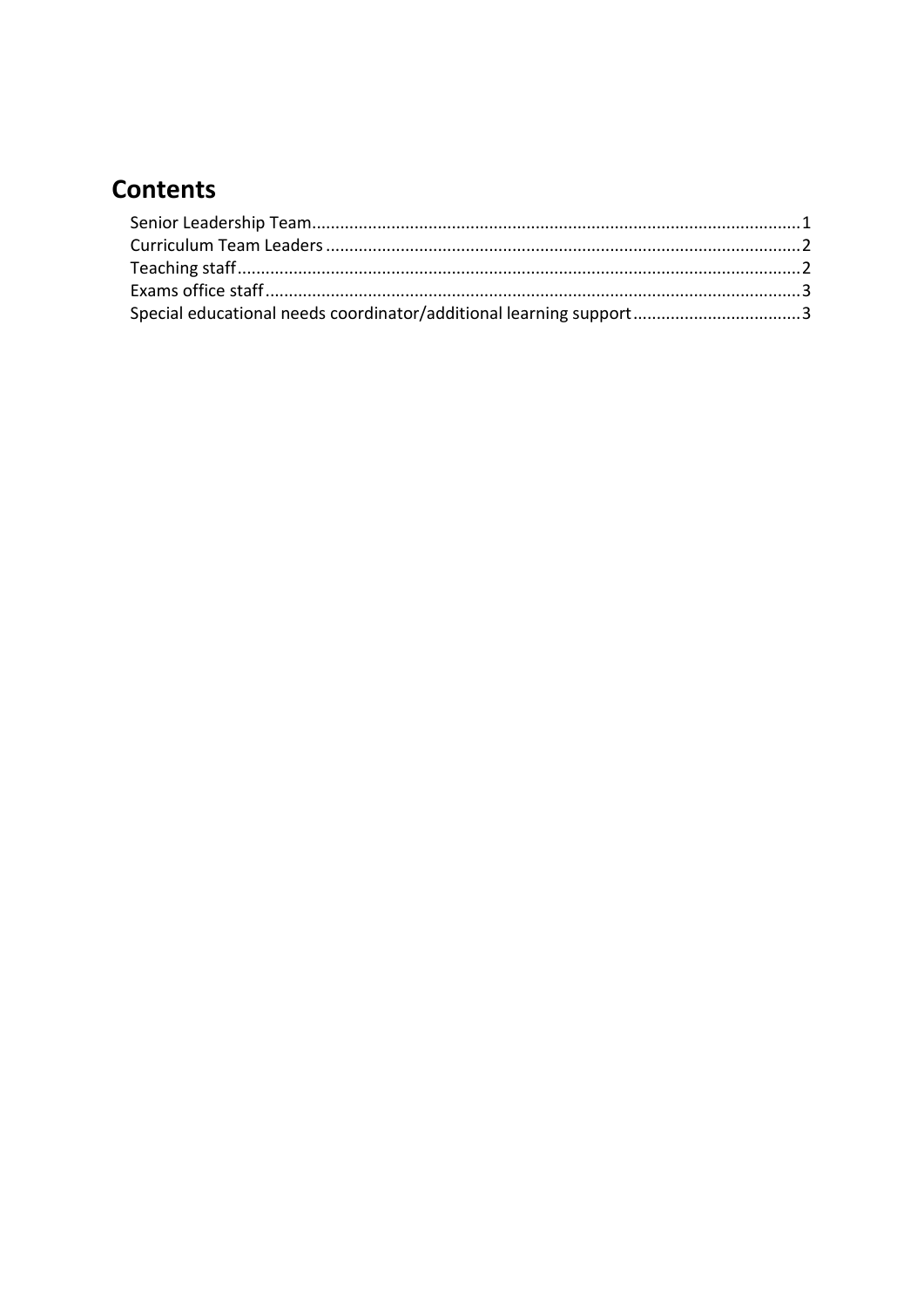### **Contents**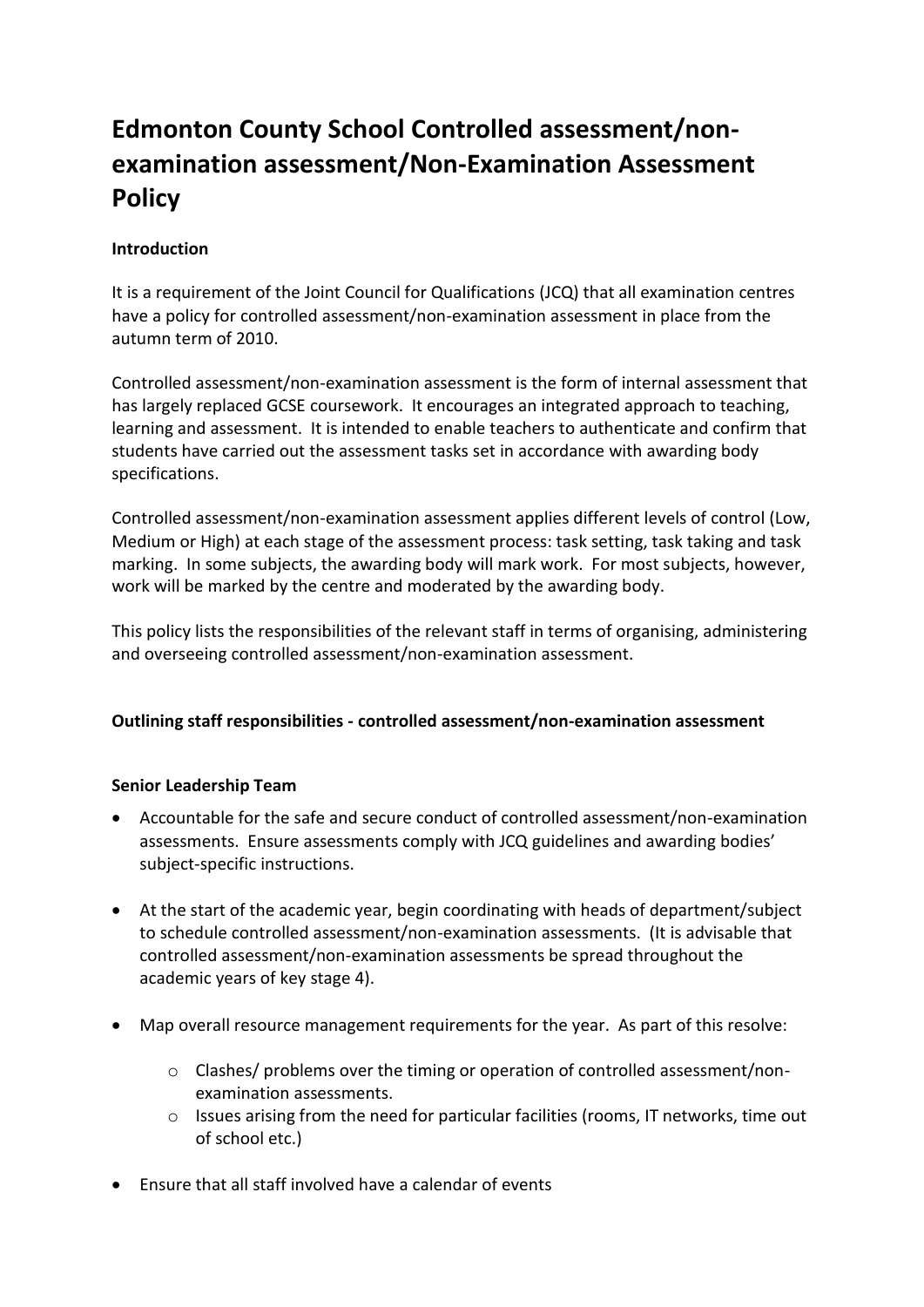## **Edmonton County School Controlled assessment/nonexamination assessment/Non-Examination Assessment Policy**

#### **Introduction**

It is a requirement of the Joint Council for Qualifications (JCQ) that all examination centres have a policy for controlled assessment/non-examination assessment in place from the autumn term of 2010.

Controlled assessment/non-examination assessment is the form of internal assessment that has largely replaced GCSE coursework. It encourages an integrated approach to teaching, learning and assessment. It is intended to enable teachers to authenticate and confirm that students have carried out the assessment tasks set in accordance with awarding body specifications.

Controlled assessment/non-examination assessment applies different levels of control (Low, Medium or High) at each stage of the assessment process: task setting, task taking and task marking. In some subjects, the awarding body will mark work. For most subjects, however, work will be marked by the centre and moderated by the awarding body.

This policy lists the responsibilities of the relevant staff in terms of organising, administering and overseeing controlled assessment/non-examination assessment.

#### **Outlining staff responsibilities - controlled assessment/non-examination assessment**

#### <span id="page-2-0"></span>**Senior Leadership Team**

- Accountable for the safe and secure conduct of controlled assessment/non-examination assessments. Ensure assessments comply with JCQ guidelines and awarding bodies' subject-specific instructions.
- At the start of the academic year, begin coordinating with heads of department/subject to schedule controlled assessment/non-examination assessments. (It is advisable that controlled assessment/non-examination assessments be spread throughout the academic years of key stage 4).
- Map overall resource management requirements for the year. As part of this resolve:
	- o Clashes/ problems over the timing or operation of controlled assessment/nonexamination assessments.
	- o Issues arising from the need for particular facilities (rooms, IT networks, time out of school etc.)
- Ensure that all staff involved have a calendar of events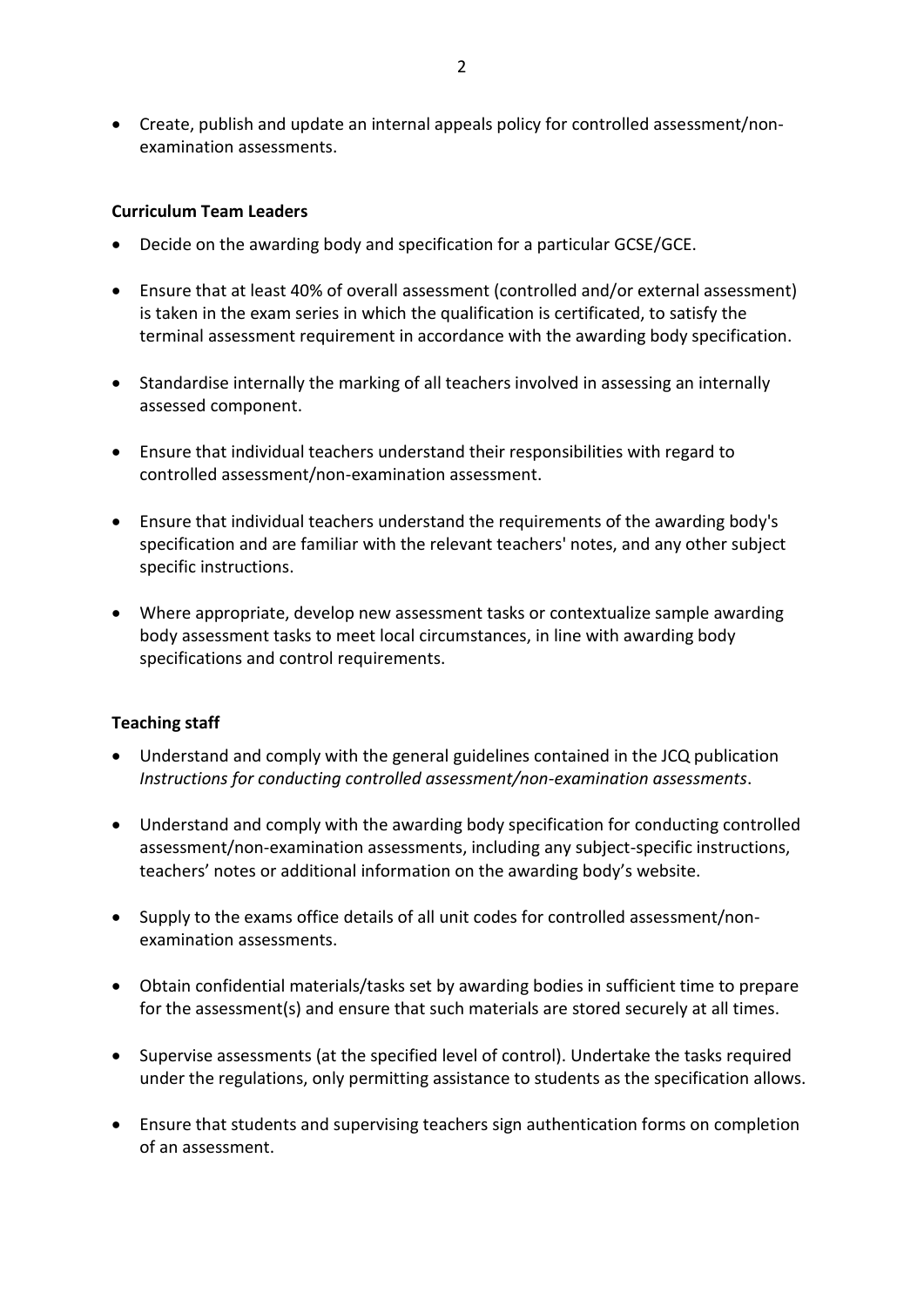Create, publish and update an internal appeals policy for controlled assessment/nonexamination assessments.

#### <span id="page-3-0"></span>**Curriculum Team Leaders**

- Decide on the awarding body and specification for a particular GCSE/GCE.
- Ensure that at least 40% of overall assessment (controlled and/or external assessment) is taken in the exam series in which the qualification is certificated, to satisfy the terminal assessment requirement in accordance with the awarding body specification.
- Standardise internally the marking of all teachers involved in assessing an internally assessed component.
- Ensure that individual teachers understand their responsibilities with regard to controlled assessment/non-examination assessment.
- Ensure that individual teachers understand the requirements of the awarding body's specification and are familiar with the relevant teachers' notes, and any other subject specific instructions.
- Where appropriate, develop new assessment tasks or contextualize sample awarding body assessment tasks to meet local circumstances, in line with awarding body specifications and control requirements.

#### <span id="page-3-1"></span>**Teaching staff**

- Understand and comply with the general guidelines contained in the JCQ publication *Instructions for conducting controlled assessment/non-examination assessments*.
- Understand and comply with the awarding body specification for conducting controlled assessment/non-examination assessments, including any subject-specific instructions, teachers' notes or additional information on the awarding body's website.
- Supply to the exams office details of all unit codes for controlled assessment/nonexamination assessments.
- Obtain confidential materials/tasks set by awarding bodies in sufficient time to prepare for the assessment(s) and ensure that such materials are stored securely at all times.
- Supervise assessments (at the specified level of control). Undertake the tasks required under the regulations, only permitting assistance to students as the specification allows.
- Ensure that students and supervising teachers sign authentication forms on completion of an assessment.